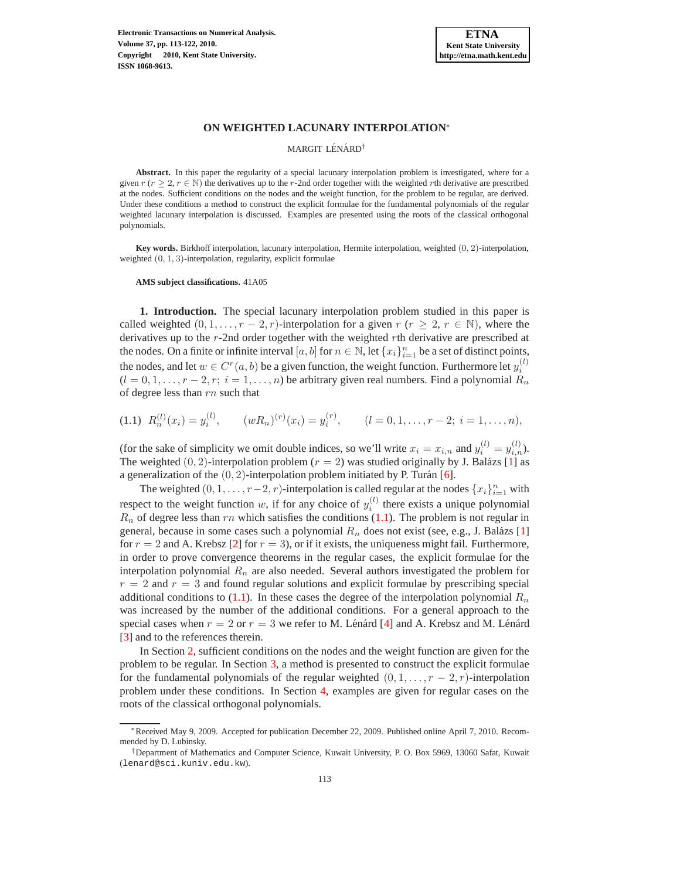

# **ON WEIGHTED LACUNARY INTERPOLATION**<sup>∗</sup>

#### MARGIT LÉNÁRD<sup>†</sup>

**Abstract.** In this paper the regularity of a special lacunary interpolation problem is investigated, where for a given  $r$  ( $r \geq 2$ ,  $r \in \mathbb{N}$ ) the derivatives up to the r-2nd order together with the weighted rth derivative are prescribed at the nodes. Sufficient conditions on the nodes and the weight function, for the problem to be regular, are derived. Under these conditions a method to construct the explicit formulae for the fundamental polynomials of the regular weighted lacunary interpolation is discussed. Examples are presented using the roots of the classical orthogonal polynomials.

**Key words.** Birkhoff interpolation, lacunary interpolation, Hermite interpolation, weighted (0, 2)-interpolation, weighted  $(0, 1, 3)$ -interpolation, regularity, explicit formulae

**AMS subject classifications.** 41A05

**1. Introduction.** The special lacunary interpolation problem studied in this paper is called weighted  $(0, 1, \ldots, r - 2, r)$ -interpolation for a given  $r$   $(r \geq 2, r \in \mathbb{N})$ , where the derivatives up to the r-2nd order together with the weighted rth derivative are prescribed at the nodes. On a finite or infinite interval  $[a, b]$  for  $n \in \mathbb{N}$ , let  $\{x_i\}_{i=1}^n$  be a set of distinct points, the nodes, and let  $w \in C<sup>r</sup>(a, b)$  be a given function, the weight function. Furthermore let  $y_i^{(l)}$  $(l = 0, 1, \ldots, r - 2, r; i = 1, \ldots, n)$  be arbitrary given real numbers. Find a polynomial  $R_n$ of degree less than rn such that

<span id="page-0-0"></span>(1.1)  $R_n^{(l)}(x_i) = y_i^{(l)}, \qquad (wR_n)^{(r)}(x_i) = y_i^{(r)}, \qquad (l = 0, 1, \ldots, r-2; i = 1, \ldots, n),$ 

(for the sake of simplicity we omit double indices, so we'll write  $x_i = x_{i,n}$  and  $y_i^{(l)} = y_{i,n}^{(l)}$ ). The weighted  $(0, 2)$ -interpolation problem  $(r = 2)$  was studied originally by J. Balázs [\[1\]](#page-9-0) as a generalization of the  $(0, 2)$ -interpolation problem initiated by P. Turán [\[6\]](#page-9-1).

The weighted  $(0, 1, \ldots, r-2, r)$ -interpolation is called regular at the nodes  $\{x_i\}_{i=1}^n$  with respect to the weight function w, if for any choice of  $y_i^{(l)}$  there exists a unique polynomial  $R_n$  of degree less than rn which satisfies the conditions [\(1.1\)](#page-0-0). The problem is not regular in general, because in some cases such a polynomial  $R_n$  does not exist (see, e.g., J. Balázs [\[1\]](#page-9-0) for  $r = 2$  and A. Krebsz [\[2\]](#page-9-2) for  $r = 3$ ), or if it exists, the uniqueness might fail. Furthermore, in order to prove convergence theorems in the regular cases, the explicit formulae for the interpolation polynomial  $R_n$  are also needed. Several authors investigated the problem for  $r = 2$  and  $r = 3$  and found regular solutions and explicit formulae by prescribing special additional conditions to [\(1.1\)](#page-0-0). In these cases the degree of the interpolation polynomial  $R_n$ was increased by the number of the additional conditions. For a general approach to the special cases when  $r = 2$  or  $r = 3$  we refer to M. Lénárd [\[4\]](#page-9-3) and A. Krebsz and M. Lénárd [\[3\]](#page-9-4) and to the references therein.

In Section [2,](#page-1-0) sufficient conditions on the nodes and the weight function are given for the problem to be regular. In Section [3,](#page-2-0) a method is presented to construct the explicit formulae for the fundamental polynomials of the regular weighted  $(0, 1, \ldots, r-2, r)$ -interpolation problem under these conditions. In Section [4,](#page-7-0) examples are given for regular cases on the roots of the classical orthogonal polynomials.

<sup>∗</sup>Received May 9, 2009. Accepted for publication December 22, 2009. Published online April 7, 2010. Recommended by D. Lubinsky.

<sup>†</sup>Department of Mathematics and Computer Science, Kuwait University, P. O. Box 5969, 13060 Safat, Kuwait (lenard@sci.kuniv.edu.kw).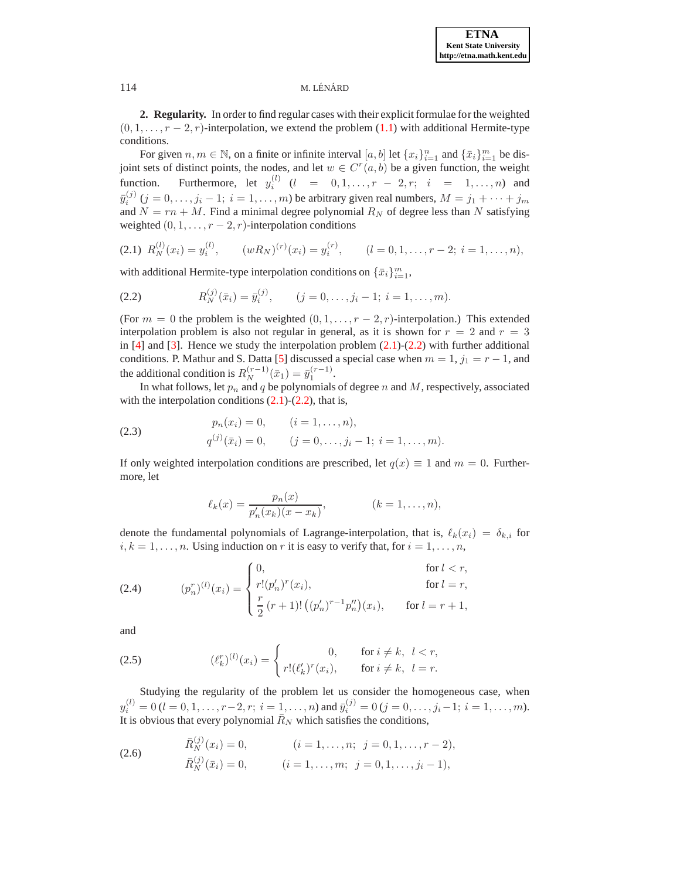<span id="page-1-0"></span>**2. Regularity.** In order to find regular cases with their explicit formulae for the weighted  $(0, 1, \ldots, r-2, r)$ -interpolation, we extend the problem  $(1.1)$  with additional Hermite-type conditions.

For given  $n, m \in \mathbb{N}$ , on a finite or infinite interval  $[a, b]$  let  $\{x_i\}_{i=1}^m$  and  $\{\bar{x}_i\}_{i=1}^m$  be disjoint sets of distinct points, the nodes, and let  $w \in C<sup>r</sup>(a, b)$  be a given function, the weight function. Furthermore, let  $y_i^{(l)}$   $(l = 0, 1, ..., r - 2, r; i = 1, ..., n)$  and  $\bar{y}_i^{(j)}$   $(j = 0, \ldots, j_i - 1; i = 1, \ldots, m)$  be arbitrary given real numbers,  $M = j_1 + \cdots + j_m$ and  $N = rn + M$ . Find a minimal degree polynomial  $R_N$  of degree less than N satisfying weighted  $(0, 1, \ldots, r-2, r)$ -interpolation conditions

<span id="page-1-1"></span>
$$
(2.1) \ \ R_N^{(l)}(x_i) = y_i^{(l)}, \qquad (w R_N)^{(r)}(x_i) = y_i^{(r)}, \qquad (l = 0, 1, \dots, r-2; \ i = 1, \dots, n),
$$

<span id="page-1-2"></span>with additional Hermite-type interpolation conditions on  $\{\bar{x}_i\}_{i=1}^m$ ,

(2.2) 
$$
R_N^{(j)}(\bar{x}_i) = \bar{y}_i^{(j)}, \qquad (j = 0, \ldots, j_i - 1; i = 1, \ldots, m).
$$

(For  $m = 0$  the problem is the weighted  $(0, 1, \ldots, r - 2, r)$ -interpolation.) This extended interpolation problem is also not regular in general, as it is shown for  $r = 2$  and  $r = 3$ in  $[4]$  and  $[3]$ . Hence we study the interpolation problem  $(2.1)-(2.2)$  $(2.1)-(2.2)$  with further additional conditions. P. Mathur and S. Datta [\[5\]](#page-9-5) discussed a special case when  $m = 1$ ,  $j_1 = r - 1$ , and the additional condition is  $R_N^{(r-1)}(\bar{x}_1) = \bar{y}_1^{(r-1)}$ .

In what follows, let  $p_n$  and  $q$  be polynomials of degree  $n$  and  $M$ , respectively, associated with the interpolation conditions  $(2.1)-(2.2)$  $(2.1)-(2.2)$  $(2.1)-(2.2)$ , that is,

(2.3) 
$$
p_n(x_i) = 0, \qquad (i = 1, ..., n),
$$

$$
q^{(j)}(\bar{x}_i) = 0, \qquad (j = 0, ..., j_i - 1; i = 1, ..., m).
$$

If only weighted interpolation conditions are prescribed, let  $q(x) \equiv 1$  and  $m = 0$ . Furthermore, let

<span id="page-1-4"></span><span id="page-1-3"></span>
$$
\ell_k(x) = \frac{p_n(x)}{p'_n(x_k)(x - x_k)}, \qquad (k = 1, \dots, n),
$$

denote the fundamental polynomials of Lagrange-interpolation, that is,  $\ell_k(x_i) = \delta_{k,i}$  for  $i, k = 1, \ldots, n$ . Using induction on r it is easy to verify that, for  $i = 1, \ldots, n$ ,

(2.4) 
$$
(p_n^r)^{(l)}(x_i) = \begin{cases} 0, & \text{for } l < r, \\ r!(p'_n)^r(x_i), & \text{for } l = r, \\ \frac{r}{2}(r+1)! ((p'_n)^{r-1}p''_n)(x_i), & \text{for } l = r+1, \end{cases}
$$

<span id="page-1-6"></span>and

(2.5) 
$$
(\ell_k^r)^{(l)}(x_i) = \begin{cases} 0, & \text{for } i \neq k, \ l < r, \\ r!(\ell_k^{\prime})^r(x_i), & \text{for } i \neq k, \ l = r. \end{cases}
$$

Studying the regularity of the problem let us consider the homogeneous case, when  $y_i^{(l)} = 0$   $(l = 0, 1, \ldots, r-2, r; i = 1, \ldots, n)$  and  $\bar{y}_i^{(j)} = 0$   $(j = 0, \ldots, j_i-1; i = 1, \ldots, m)$ . It is obvious that every polynomial  $\bar{R}_N$  which satisfies the conditions,

<span id="page-1-5"></span>(2.6) 
$$
\bar{R}_N^{(j)}(x_i) = 0, \qquad (i = 1, ..., n; \ j = 0, 1, ..., r - 2),
$$

$$
\bar{R}_N^{(j)}(\bar{x}_i) = 0, \qquad (i = 1, ..., m; \ j = 0, 1, ..., j_i - 1),
$$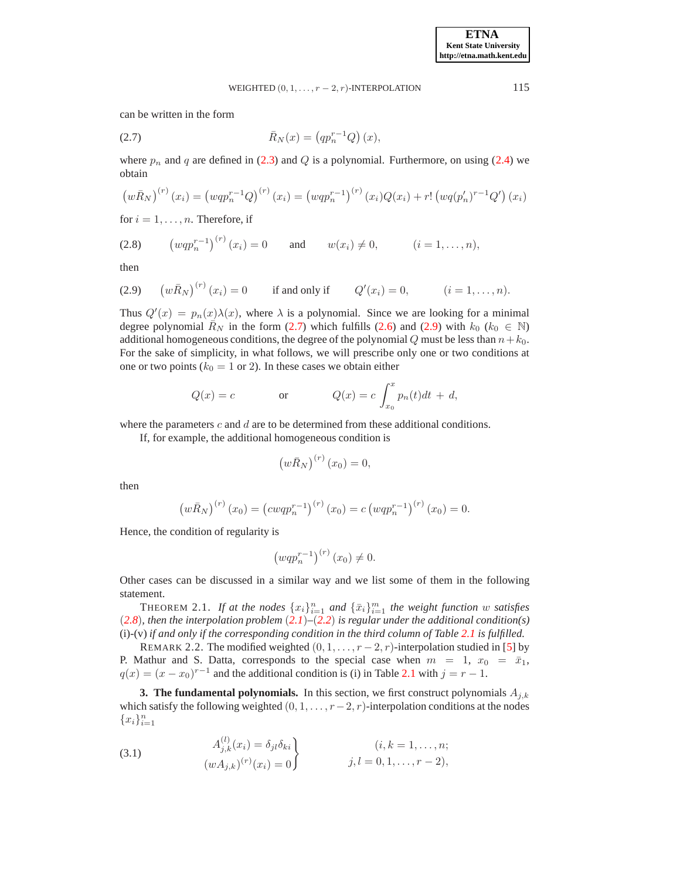<span id="page-2-1"></span>can be written in the form

(2.7) 
$$
\bar{R}_N(x) = (qp_n^{r-1}Q)(x),
$$

where  $p_n$  and q are defined in [\(2.3\)](#page-1-3) and Q is a polynomial. Furthermore, on using [\(2.4\)](#page-1-4) we obtain

$$
\left(w\bar{R}_{N}\right)^{(r)}(x_{i})=\left(wqp_{n}^{r-1}Q\right)^{(r)}(x_{i})=\left(wqp_{n}^{r-1}\right)^{(r)}(x_{i})Q(x_{i})+r!\left(wq(p_{n}')^{r-1}Q'\right)(x_{i})
$$

for  $i = 1, \ldots, n$ . Therefore, if

<span id="page-2-3"></span> $\lambda$ 

(2.8) 
$$
(wqp_n^{r-1})^{(r)}(x_i) = 0
$$
 and  $w(x_i) \neq 0$ ,  $(i = 1,...,n)$ ,

<span id="page-2-2"></span>then

(2.9) 
$$
(w\bar{R}_N)^{(r)}(x_i) = 0
$$
 if and only if  $Q'(x_i) = 0$ ,  $(i = 1,...,n)$ .

Thus  $Q'(x) = p_n(x)\lambda(x)$ , where  $\lambda$  is a polynomial. Since we are looking for a minimal degree polynomial  $\overline{R}_N$  in the form [\(2.7\)](#page-2-1) which fulfills [\(2.6\)](#page-1-5) and [\(2.9\)](#page-2-2) with  $k_0$  ( $k_0 \in \mathbb{N}$ ) additional homogeneous conditions, the degree of the polynomial Q must be less than  $n+k_0$ . For the sake of simplicity, in what follows, we will prescribe only one or two conditions at one or two points ( $k_0 = 1$  or 2). In these cases we obtain either

$$
Q(x) = c \qquad \text{or} \qquad Q(x) = c \int_{x_0}^x p_n(t)dt + d,
$$

where the parameters  $c$  and  $d$  are to be determined from these additional conditions.

If, for example, the additional homogeneous condition is

$$
\left(w\bar{R}_N\right)^{(r)}(x_0)=0,
$$

then

$$
\left(w\bar{R}_N\right)^{(r)}(x_0) = \left(cwqp_n^{r-1}\right)^{(r)}(x_0) = c\left(wqp_n^{r-1}\right)^{(r)}(x_0) = 0.
$$

Hence, the condition of regularity is

$$
\left(wqp_n^{r-1}\right)^{(r)}(x_0)\neq 0.
$$

<span id="page-2-4"></span>Other cases can be discussed in a similar way and we list some of them in the following statement.

THEOREM 2.1. If at the nodes  $\{x_i\}_{i=1}^n$  and  $\{\bar{x}_i\}_{i=1}^m$  the weight function w satisfies (*[2.8](#page-2-3)*)*, then the interpolation problem* (*[2.1](#page-1-1)*)*–*(*[2.2](#page-1-2)*) *is regular under the additional condition(s)* (i)-(v) *if and only if the corresponding condition in the third column of Table [2.1](#page-2-4) is fulfilled.*

REMARK 2.2. The modified weighted  $(0, 1, \ldots, r-2, r)$ -interpolation studied in [\[5\]](#page-9-5) by P. Mathur and S. Datta, corresponds to the special case when  $m = 1$ ,  $x_0 = \bar{x}_1$ ,  $q(x) = (x - x_0)^{r-1}$  and the additional condition is (i) in Table [2.1](#page-2-4) with  $j = r - 1$ .

<span id="page-2-0"></span>**3. The fundamental polynomials.** In this section, we first construct polynomials  $A_{j,k}$ which satisfy the following weighted  $(0, 1, \ldots, r-2, r)$ -interpolation conditions at the nodes  ${x_i}_{i=1}^n$ 

<span id="page-2-5"></span>(3.1) 
$$
A_{j,k}^{(l)}(x_i) = \delta_{jl}\delta_{ki} \qquad (i,k = 1,...,n;\\ (wA_{j,k})^{(r)}(x_i) = 0 \qquad j,l = 0,1,...,r-2),
$$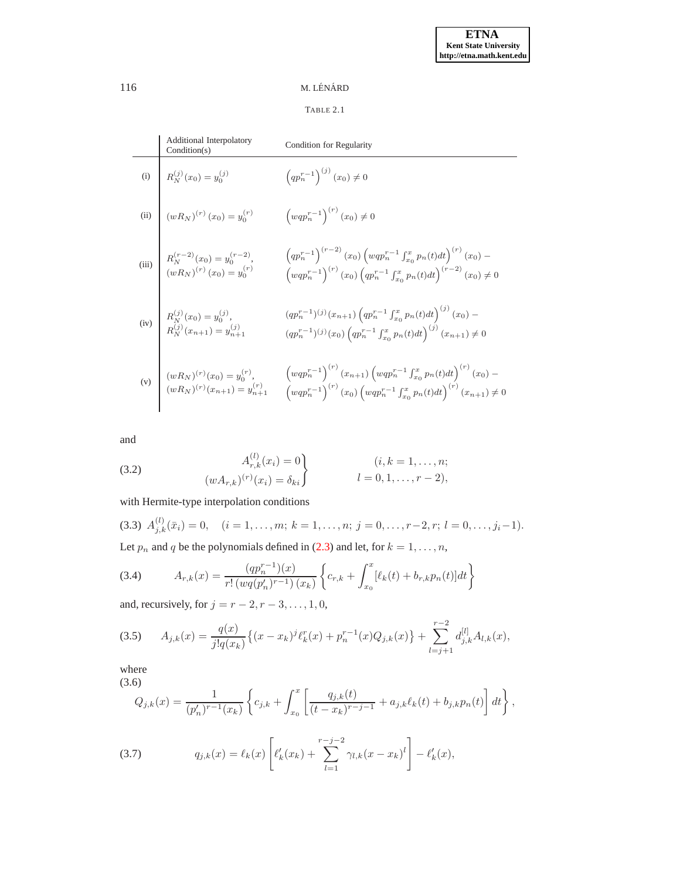# TABLE 2.1

| <b>Additional Interpolatory</b><br>Condition(s)                                                                                                      | Condition for Regularity                                                                                                                                                                                                                                                                                                                                   |
|------------------------------------------------------------------------------------------------------------------------------------------------------|------------------------------------------------------------------------------------------------------------------------------------------------------------------------------------------------------------------------------------------------------------------------------------------------------------------------------------------------------------|
|                                                                                                                                                      | $\left( q p_{n}^{r-1} \right)^{(j)}(x_0) \neq 0$                                                                                                                                                                                                                                                                                                           |
|                                                                                                                                                      | $\left(wqp_{n}^{r-1}\right)^{(r)}(x_0)\neq 0$                                                                                                                                                                                                                                                                                                              |
| (i) $R_N^{(j)}(x_0) = y_0^{(j)}$<br>(ii) $(wR_N)^{(r)}(x_0) = y_0^{(r)}$<br>(iii) $R_N^{(r-2)}(x_0) = y_0^{(r-2)}$ , $(wR_N)^{(r)}(x_0) = y_0^{(r)}$ | $\begin{array}{l} \left(qp_{n}^{r-1}\right)^{\left(r-2\right)}\left(x_{0}\right)\left(wqp_{n}^{r-1}\int_{x_{0}}^{x}p_{n}(t)dt\right)^{\left(r\right)}\left(x_{0}\right)- \hfill \\ \left(wqp_{n}^{r-1}\right)^{\left(r\right)}\left(x_{0}\right)\left(qp_{n}^{r-1}\int_{x_{0}}^{x}p_{n}(t)dt\right)^{\left(r-2\right)}\left(x_{0}\right)\neq0 \end{array}$ |
| (iv) $R_N^{(j)}(x_0) = y_0^{(j)}$ ,<br>$R_N^{(j)}(x_{n+1}) = y_{n+1}^{(j)}$                                                                          | $(qp_n^{r-1})^{(j)}(x_{n+1}) \left(qp_n^{r-1} \int_{x_0}^x p_n(t)dt\right)^{(j)}(x_0) -$<br>$(qp_n^{r-1})^{(j)}(x_0) \left(qp_n^{r-1} \int_{x_0}^x p_n(t)dt\right)^{(j)}(x_{n+1}) \neq 0$                                                                                                                                                                  |
|                                                                                                                                                      | (v) $\begin{cases} (wR_N)^{(r)}(x_0) = y_0^{(r)}, & \left(wqp_n^{r-1}\right)^{(r)}(x_{n+1}) \left(wqp_n^{r-1}\int_{x_0}^x p_n(t)dt\right)^{(r)}(x_0) - (wR_N)^{(r)}(x_{n+1}) = y_{n+1}^{(r)} & \left(wqp_n^{r-1}\right)^{(r)}(x_0) \left(wqp_n^{r-1}\int_{x_0}^x p_n(t)dt\right)^{(r)}(x_{n+1}) \neq 0 \end{cases}$                                        |

<span id="page-3-4"></span>and

(3.2) 
$$
A_{r,k}^{(l)}(x_i) = 0
$$

$$
(w A_{r,k})^{(r)}(x_i) = \delta_{ki}
$$

$$
l = 0, 1, ..., r - 2,
$$

<span id="page-3-3"></span>with Hermite-type interpolation conditions

(3.3)  $A_{j,k}^{(l)}(\bar{x}_i) = 0, \quad (i = 1, \ldots, m; k = 1, \ldots, n; j = 0, \ldots, r-2, r; l = 0, \ldots, j_i-1).$ Let  $p_n$  and  $q$  be the polynomials defined in [\(2.3\)](#page-1-3) and let, for  $k = 1, ..., n$ ,

<span id="page-3-2"></span>(3.4) 
$$
A_{r,k}(x) = \frac{(qp_n^{r-1})(x)}{r! (wq(p_n')^{r-1})(x_k)} \left\{ c_{r,k} + \int_{x_0}^x [\ell_k(t) + b_{r,k}p_n(t)]dt \right\}
$$

<span id="page-3-0"></span>and, recursively, for  $j = r - 2, r - 3, \ldots, 1, 0$ ,

$$
(3.5) \qquad A_{j,k}(x) = \frac{q(x)}{j!q(x_k)} \left\{ (x - x_k)^j \ell_k^r(x) + p_n^{r-1}(x) Q_{j,k}(x) \right\} + \sum_{l=j+1}^{r-2} d_{j,k}^{[l]} A_{l,k}(x),
$$

<span id="page-3-5"></span>where (3.6)

$$
Q_{j,k}(x) = \frac{1}{(p'_n)^{r-1}(x_k)} \left\{ c_{j,k} + \int_{x_0}^x \left[ \frac{q_{j,k}(t)}{(t-x_k)^{r-j-1}} + a_{j,k} \ell_k(t) + b_{j,k} p_n(t) \right] dt \right\},
$$

<span id="page-3-1"></span>(3.7) 
$$
q_{j,k}(x) = \ell_k(x) \left[ \ell'_k(x_k) + \sum_{l=1}^{r-j-2} \gamma_{l,k}(x - x_k)^l \right] - \ell'_k(x),
$$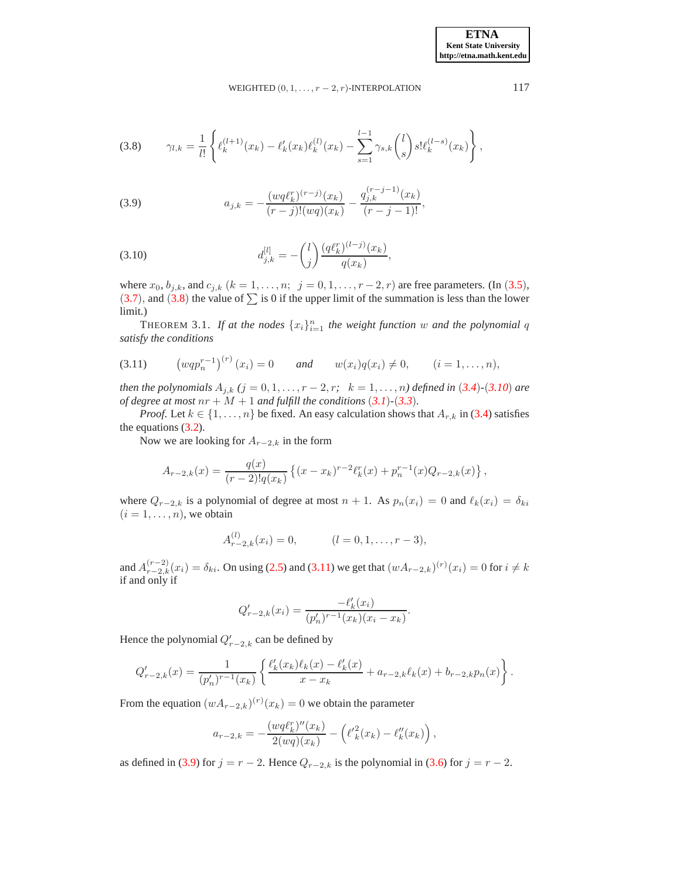WEIGHTED  $(0, 1, \ldots, r-2, r)$ -INTERPOLATION 117

<span id="page-4-0"></span>
$$
(3.8) \qquad \gamma_{l,k} = \frac{1}{l!} \left\{ \ell_k^{(l+1)}(x_k) - \ell'_k(x_k) \ell_k^{(l)}(x_k) - \sum_{s=1}^{l-1} \gamma_{s,k} \binom{l}{s} s! \ell_k^{(l-s)}(x_k) \right\},
$$

<span id="page-4-3"></span>(3.9) 
$$
a_{j,k} = -\frac{(wq\ell_k^r)^{(r-j)}(x_k)}{(r-j)!(wq)(x_k)} - \frac{q_{j,k}^{(r-j-1)}(x_k)}{(r-j-1)!},
$$

<span id="page-4-1"></span>(3.10) 
$$
d_{j,k}^{[l]} = -\binom{l}{j} \frac{(q\ell_k^r)^{(l-j)}(x_k)}{q(x_k)},
$$

where  $x_0, b_{j,k}$ , and  $c_{j,k}$   $(k = 1, ..., n; j = 0, 1, ..., r - 2, r)$  are free parameters. (In ([3.5](#page-3-0)),  $(3.7)$  $(3.7)$  $(3.7)$ , and  $(3.8)$  $(3.8)$  $(3.8)$  the value of  $\Sigma$  is 0 if the upper limit of the summation is less than the lower limit.)

<span id="page-4-4"></span><span id="page-4-2"></span>**THEOREM** 3.1. If at the nodes  $\{x_i\}_{i=1}^n$  the weight function w and the polynomial q *satisfy the conditions*

$$
(3.11) \t(wqpnr-1)(r)(xi) = 0 \t and \t w(xi)q(xi) \neq 0, \t (i = 1,...,n),
$$

*then the polynomials*  $A_{j,k}$  ( $j = 0, 1, ..., r - 2, r$ ;  $k = 1, ..., n$ ) defined in ([3.4](#page-3-2))–([3.10](#page-4-1)) *are of degree at most*  $nr + M + 1$  *and fulfill the conditions*  $(3.1)$  $(3.1)$  $(3.1)$  $-(3.3)$  $-(3.3)$  $-(3.3)$ *.* 

*Proof.* Let  $k \in \{1, ..., n\}$  be fixed. An easy calculation shows that  $A_{r,k}$  in [\(3.4\)](#page-3-2) satisfies the equations [\(3.2\)](#page-3-4).

Now we are looking for  $A_{r-2,k}$  in the form

$$
A_{r-2,k}(x) = \frac{q(x)}{(r-2)!q(x_k)} \left\{ (x-x_k)^{r-2} \ell_k^r(x) + p_n^{r-1}(x) Q_{r-2,k}(x) \right\},\,
$$

where  $Q_{r-2,k}$  is a polynomial of degree at most  $n + 1$ . As  $p_n(x_i) = 0$  and  $\ell_k(x_i) = \delta_{ki}$  $(i = 1, \ldots, n)$ , we obtain

$$
A_{r-2,k}^{(l)}(x_i) = 0, \qquad (l = 0, 1, \dots, r-3),
$$

and  $A_{r-2,k}^{(r-2)}(x_i) = \delta_{ki}$ . On using [\(2.5\)](#page-1-6) and [\(3.11\)](#page-4-2) we get that  $(wA_{r-2,k})^{(r)}(x_i) = 0$  for  $i \neq k$ if and only if

$$
Q'_{r-2,k}(x_i) = \frac{-\ell'_k(x_i)}{(p'_n)^{r-1}(x_k)(x_i - x_k)}.
$$

Hence the polynomial  $Q'_{r-2,k}$  can be defined by

$$
Q'_{r-2,k}(x) = \frac{1}{(p'_n)^{r-1}(x_k)} \left\{ \frac{\ell'_k(x_k)\ell_k(x) - \ell'_k(x)}{x - x_k} + a_{r-2,k}\ell_k(x) + b_{r-2,k}p_n(x) \right\}.
$$

From the equation  $(wA_{r-2,k})^{(r)}(x_k) = 0$  we obtain the parameter

$$
a_{r-2,k} = -\frac{(wq\ell_k^r)''(x_k)}{2(wq)(x_k)} - (\ell_k'^2(x_k) - \ell_k''(x_k)),
$$

as defined in [\(3.9\)](#page-4-3) for  $j = r - 2$ . Hence  $Q_{r-2,k}$  is the polynomial in [\(3.6\)](#page-3-5) for  $j = r - 2$ .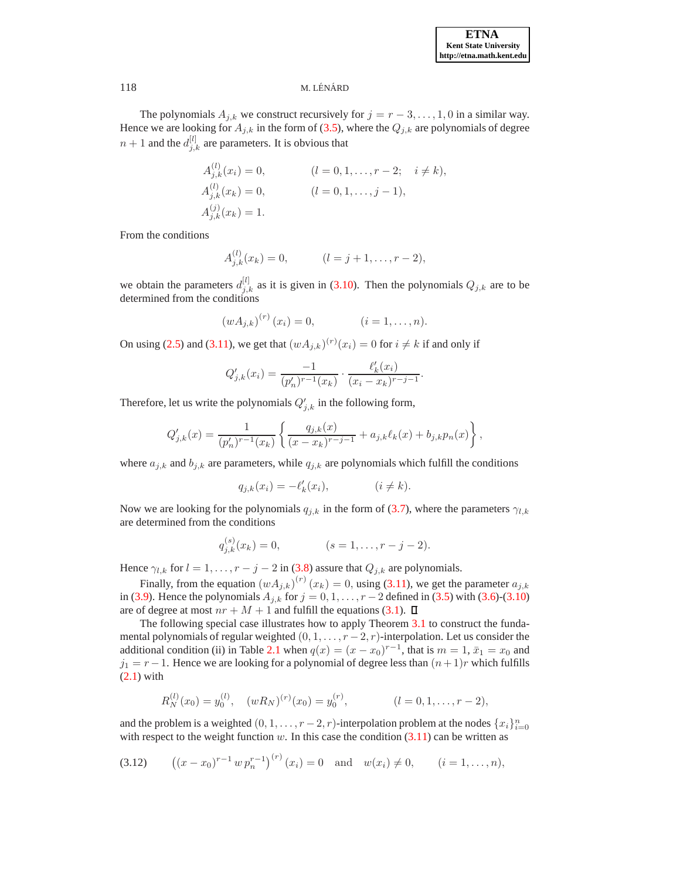The polynomials  $A_{j,k}$  we construct recursively for  $j = r-3, \ldots, 1, 0$  in a similar way. Hence we are looking for  $A_{j,k}$  in the form of [\(3.5\)](#page-3-0), where the  $Q_{j,k}$  are polynomials of degree  $n+1$  and the  $d_{j,k}^{[l]}$  are parameters. It is obvious that

$$
A_{j,k}^{(l)}(x_i) = 0, \t (l = 0, 1, \dots, r - 2; \t i \neq k),
$$
  
\n
$$
A_{j,k}^{(l)}(x_k) = 0, \t (l = 0, 1, \dots, j - 1),
$$
  
\n
$$
A_{j,k}^{(j)}(x_k) = 1.
$$

From the conditions

$$
A_{j,k}^{(l)}(x_k) = 0, \qquad (l = j + 1, \dots, r - 2),
$$

we obtain the parameters  $d_{j,k}^{[l]}$  as it is given in [\(3.10\)](#page-4-1). Then the polynomials  $Q_{j,k}$  are to be determined from the conditions

$$
(wA_{j,k})^{(r)}(x_i) = 0, \t\t (i = 1, ..., n).
$$

On using [\(2.5\)](#page-1-6) and [\(3.11\)](#page-4-2), we get that  $(wA_{j,k})^{(r)}(x_i) = 0$  for  $i \neq k$  if and only if

$$
Q'_{j,k}(x_i) = \frac{-1}{(p'_n)^{r-1}(x_k)} \cdot \frac{\ell'_k(x_i)}{(x_i - x_k)^{r-j-1}}.
$$

Therefore, let us write the polynomials  $Q'_{j,k}$  in the following form,

$$
Q'_{j,k}(x) = \frac{1}{(p'_n)^{r-1}(x_k)} \left\{ \frac{q_{j,k}(x)}{(x-x_k)^{r-j-1}} + a_{j,k} \ell_k(x) + b_{j,k} p_n(x) \right\},\,
$$

where  $a_{j,k}$  and  $b_{j,k}$  are parameters, while  $q_{j,k}$  are polynomials which fulfill the conditions

$$
q_{j,k}(x_i) = -\ell'_k(x_i), \qquad (i \neq k).
$$

Now we are looking for the polynomials  $q_{j,k}$  in the form of [\(3.7\)](#page-3-1), where the parameters  $\gamma_{l,k}$ are determined from the conditions

$$
q_{j,k}^{(s)}(x_k) = 0, \qquad (s = 1, \dots, r - j - 2).
$$

Hence  $\gamma_{l,k}$  for  $l = 1, \ldots, r - j - 2$  in [\(3.8\)](#page-4-0) assure that  $Q_{j,k}$  are polynomials.

Finally, from the equation  $(wA_{j,k})^{(r)}(x_k) = 0$ , using [\(3.11\)](#page-4-2), we get the parameter  $a_{j,k}$ in [\(3.9\)](#page-4-3). Hence the polynomials  $A_{i,k}$  for  $j = 0, 1, ..., r - 2$  defined in [\(3.5\)](#page-3-0) with [\(3.6\)](#page-3-5)-[\(3.10\)](#page-4-1) are of degree at most  $nr + M + 1$  and fulfill the equations [\(3.1\)](#page-2-5).  $\Box$ 

The following special case illustrates how to apply Theorem [3.1](#page-4-4) to construct the fundamental polynomials of regular weighted  $(0, 1, \ldots, r-2, r)$ -interpolation. Let us consider the additional condition (ii) in Table [2.1](#page-2-4) when  $q(x) = (x - x_0)^{r-1}$ , that is  $m = 1$ ,  $\bar{x}_1 = x_0$  and  $j_1 = r-1$ . Hence we are looking for a polynomial of degree less than  $(n+1)r$  which fulfills [\(2.1\)](#page-1-1) with

<span id="page-5-0"></span>
$$
R_N^{(l)}(x_0) = y_0^{(l)}, \quad (wR_N)^{(r)}(x_0) = y_0^{(r)}, \qquad (l = 0, 1, \dots, r-2),
$$

and the problem is a weighted  $(0, 1, \ldots, r-2, r)$ -interpolation problem at the nodes  $\{x_i\}_{i=0}^n$ with respect to the weight function  $w$ . In this case the condition  $(3.11)$  can be written as

$$
(3.12) \qquad ((x-x_0)^{r-1} \, w \, p_n^{r-1})^{(r)}(x_i) = 0 \quad \text{and} \quad w(x_i) \neq 0, \qquad (i=1,\ldots,n),
$$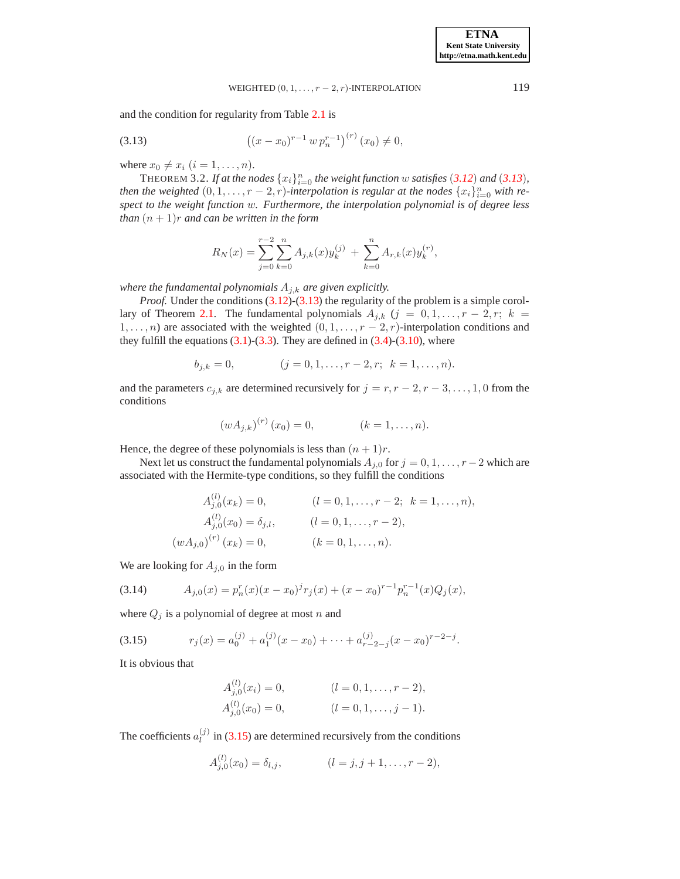# <span id="page-6-0"></span>WEIGHTED  $(0, 1, \ldots, r-2, r)$ -INTERPOLATION 119

and the condition for regularity from Table [2.1](#page-2-4) is

(3.13) 
$$
((x-x_0)^{r-1} w p_n^{r-1})^{(r)} (x_0) \neq 0,
$$

<span id="page-6-3"></span>where  $x_0 \neq x_i$   $(i = 1, \ldots, n)$ .

THEOREM 3.2. If at the nodes  ${x_i}_{i=0}^n$  the weight function w satisfies ([3.12](#page-5-0)) and ([3.13](#page-6-0)), *then the weighted*  $(0, 1, \ldots, r - 2, r)$ -interpolation is regular at the nodes  $\{x_i\}_{i=0}^n$  with re*spect to the weight function* w*. Furthermore, the interpolation polynomial is of degree less than*  $(n + 1)r$  *and can be written in the form* 

$$
R_N(x) = \sum_{j=0}^{r-2} \sum_{k=0}^n A_{j,k}(x) y_k^{(j)} + \sum_{k=0}^n A_{r,k}(x) y_k^{(r)},
$$

*where the fundamental polynomials*  $A_{i,k}$  *are given explicitly.* 

*Proof.* Under the conditions [\(3.12\)](#page-5-0)-[\(3.13\)](#page-6-0) the regularity of the problem is a simple corol-lary of Theorem [2.1.](#page-2-4) The fundamental polynomials  $A_{j,k}$  ( $j = 0, 1, \ldots, r-2, r; k =$  $1, \ldots, n$ ) are associated with the weighted  $(0, 1, \ldots, r - 2, r)$ -interpolation conditions and they fulfill the equations  $(3.1)-(3.3)$  $(3.1)-(3.3)$  $(3.1)-(3.3)$ . They are defined in  $(3.4)-(3.10)$  $(3.4)-(3.10)$ , where

$$
b_{j,k} = 0, \qquad (j = 0, 1, \dots, r-2, r; \ k = 1, \dots, n).
$$

and the parameters  $c_{j,k}$  are determined recursively for  $j = r, r - 2, r - 3, \ldots, 1, 0$  from the conditions

$$
(wA_{j,k})^{(r)}(x_0) = 0, \t\t (k = 1, ..., n).
$$

Hence, the degree of these polynomials is less than  $(n + 1)r$ .

Next let us construct the fundamental polynomials  $A_{j,0}$  for  $j = 0, 1, \ldots, r-2$  which are associated with the Hermite-type conditions, so they fulfill the conditions

<span id="page-6-2"></span>
$$
A_{j,0}^{(l)}(x_k) = 0, \t (l = 0, 1, \dots, r-2; k = 1, \dots, n),
$$
  
\n
$$
A_{j,0}^{(l)}(x_0) = \delta_{j,l}, \t (l = 0, 1, \dots, r-2),
$$
  
\n
$$
(wA_{j,0})^{(r)}(x_k) = 0, \t (k = 0, 1, \dots, n).
$$

We are looking for  $A_{j,0}$  in the form

(3.14) 
$$
A_{j,0}(x) = p_n^r(x)(x - x_0)^j r_j(x) + (x - x_0)^{r-1} p_n^{r-1}(x) Q_j(x),
$$

where  $Q_j$  is a polynomial of degree at most n and

(3.15) 
$$
r_j(x) = a_0^{(j)} + a_1^{(j)}(x - x_0) + \dots + a_{r-2-j}^{(j)}(x - x_0)^{r-2-j}.
$$

It is obvious that

<span id="page-6-1"></span>
$$
A_{j,0}^{(l)}(x_i) = 0,
$$
  $(l = 0, 1, ..., r - 2),$   
\n
$$
A_{j,0}^{(l)}(x_0) = 0,
$$
  $(l = 0, 1, ..., j - 1).$ 

The coefficients  $a_l^{(j)}$  $\binom{1}{l}$  in [\(3.15\)](#page-6-1) are determined recursively from the conditions

$$
A_{j,0}^{(l)}(x_0) = \delta_{l,j}, \qquad (l = j, j + 1, \dots, r - 2),
$$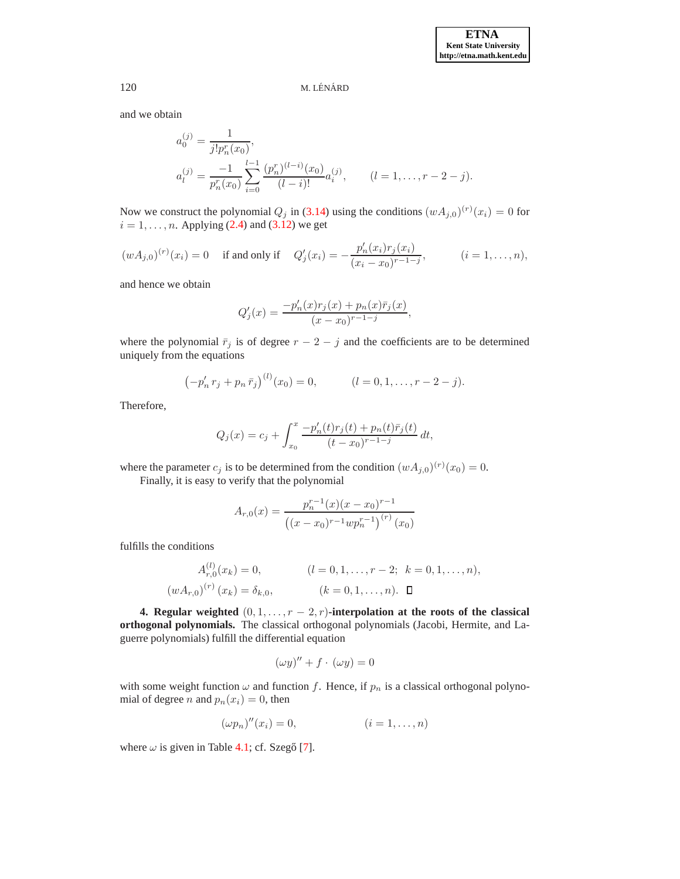and we obtain

$$
a_0^{(j)} = \frac{1}{j! p_n^r(x_0)},
$$
  
\n
$$
a_l^{(j)} = \frac{-1}{p_n^r(x_0)} \sum_{i=0}^{l-1} \frac{(p_n^r)^{(l-i)}(x_0)}{(l-i)!} a_i^{(j)}, \qquad (l = 1, \dots, r-2-j).
$$

Now we construct the polynomial  $Q_j$  in [\(3.14\)](#page-6-2) using the conditions  $(wA_{j,0})^{(r)}(x_i) = 0$  for  $i = 1, \ldots, n$ . Applying [\(2.4\)](#page-1-4) and [\(3.12\)](#page-5-0) we get

$$
(wA_{j,0})^{(r)}(x_i) = 0 \quad \text{ if and only if } \quad Q'_j(x_i) = -\frac{p'_n(x_i)r_j(x_i)}{(x_i - x_0)^{r-1-j}}, \quad (i = 1, \dots, n),
$$

and hence we obtain

$$
Q'_{j}(x) = \frac{-p'_{n}(x)r_{j}(x) + p_{n}(x)\bar{r}_{j}(x)}{(x-x_{0})^{r-1-j}},
$$

where the polynomial  $\bar{r}_j$  is of degree  $r - 2 - j$  and the coefficients are to be determined uniquely from the equations

$$
(-p'_n r_j + p_n \bar{r}_j)^{(l)}(x_0) = 0, \qquad (l = 0, 1, \dots, r - 2 - j).
$$

Therefore,

$$
Q_j(x) = c_j + \int_{x_0}^x \frac{-p'_n(t)r_j(t) + p_n(t)\bar{r}_j(t)}{(t - x_0)^{r-1-j}} dt,
$$

where the parameter  $c_j$  is to be determined from the condition  $(wA_{j,0})^{(r)}(x_0) = 0$ .

Finally, it is easy to verify that the polynomial

$$
A_{r,0}(x) = \frac{p_n^{r-1}(x)(x-x_0)^{r-1}}{((x-x_0)^{r-1}wp_n^{r-1})^{(r)}(x_0)}
$$

fulfills the conditions

$$
A_{r,0}^{(l)}(x_k) = 0, \qquad (l = 0, 1, \dots, r-2; \quad k = 0, 1, \dots, n),
$$

$$
(w A_{r,0})^{(r)}(x_k) = \delta_{k,0}, \qquad (k = 0, 1, \dots, n). \quad \Box
$$

<span id="page-7-0"></span>**4. Regular weighted**  $(0, 1, \ldots, r - 2, r)$ **-interpolation at the roots of the classical orthogonal polynomials.** The classical orthogonal polynomials (Jacobi, Hermite, and Laguerre polynomials) fulfill the differential equation

$$
(\omega y)'' + f \cdot (\omega y) = 0
$$

with some weight function  $\omega$  and function f. Hence, if  $p_n$  is a classical orthogonal polynomial of degree *n* and  $p_n(x_i) = 0$ , then

$$
(\omega p_n)''(x_i) = 0, \qquad (i = 1, \ldots, n)
$$

where  $\omega$  is given in Table [4.1;](#page-8-0) cf. Szegő [\[7\]](#page-9-6).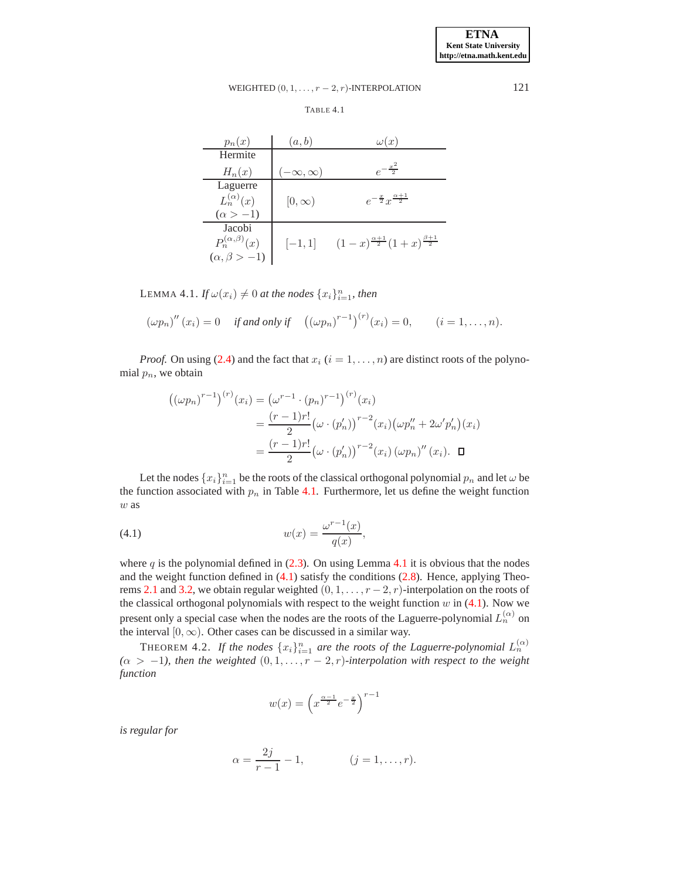# <span id="page-8-0"></span>WEIGHTED  $(0, 1, \ldots, r-2, r)$ -INTERPOLATION 121

TABLE 4.1

| $p_n(x)$                  | (a,b)              | $\omega(x)$                                           |
|---------------------------|--------------------|-------------------------------------------------------|
| Hermite                   |                    |                                                       |
| $H_n(x)$                  | $-\infty, \infty)$ | $e^{-\frac{x^2}{2}}$                                  |
| Laguerre                  |                    |                                                       |
| $L_n^{(\alpha)}(x)$       | $[0,\infty)$       | $e^{-\frac{x}{2}}x^{\frac{\alpha+1}{2}}$              |
| $(\alpha > -1)$           |                    |                                                       |
| Jacobi                    |                    |                                                       |
| $P_n^{(\alpha,\beta)}(x)$ | $[-1,1]$           | $(1-x)^{\frac{\alpha+1}{2}}(1+x)^{\frac{\beta+1}{2}}$ |
| $(\alpha, \beta > -1)$    |                    |                                                       |

<span id="page-8-1"></span>LEMMA 4.1. *If*  $\omega(x_i) \neq 0$  *at the nodes*  $\{x_i\}_{i=1}^n$ *, then* 

$$
(\omega p_n)''(x_i) = 0
$$
 if and only if  $((\omega p_n)^{r-1})^{(r)}(x_i) = 0$ ,  $(i = 1, ..., n)$ .

*Proof.* On using [\(2.4\)](#page-1-4) and the fact that  $x_i$  ( $i = 1, \ldots, n$ ) are distinct roots of the polynomial  $p_n$ , we obtain

$$
((\omega p_n)^{r-1})^{(r)}(x_i) = (\omega^{r-1} \cdot (p_n)^{r-1})^{(r)}(x_i)
$$
  
= 
$$
\frac{(r-1)r!}{2} (\omega \cdot (p'_n))^{r-2} (x_i) (\omega p''_n + 2\omega' p'_n)(x_i)
$$
  
= 
$$
\frac{(r-1)r!}{2} (\omega \cdot (p'_n))^{r-2} (x_i) (\omega p_n)'' (x_i).
$$

Let the nodes  $\{x_i\}_{i=1}^n$  be the roots of the classical orthogonal polynomial  $p_n$  and let  $\omega$  be the function associated with  $p_n$  in Table [4.1.](#page-8-0) Furthermore, let us define the weight function w as

<span id="page-8-2"></span>(4.1) 
$$
w(x) = \frac{\omega^{r-1}(x)}{q(x)},
$$

where q is the polynomial defined in  $(2.3)$ . On using Lemma [4.1](#page-8-1) it is obvious that the nodes and the weight function defined in  $(4.1)$  satisfy the conditions  $(2.8)$ . Hence, applying Theo-rems [2.1](#page-2-4) and [3.2,](#page-6-3) we obtain regular weighted  $(0, 1, \ldots, r-2, r)$ -interpolation on the roots of the classical orthogonal polynomials with respect to the weight function  $w$  in [\(4.1\)](#page-8-2). Now we present only a special case when the nodes are the roots of the Laguerre-polynomial  $L_n^{(\alpha)}$  on the interval  $[0, \infty)$ . Other cases can be discussed in a similar way.

THEOREM 4.2. If the nodes  $\{x_i\}_{i=1}^n$  are the roots of the Laguerre-polynomial  $L_n^{(\alpha)}$  $(\alpha > -1)$ , then the weighted  $(0, 1, \ldots, r-2, r)$ *-interpolation with respect to the weight function*

$$
w(x)=\left(x^{\frac{\alpha-1}{2}}e^{-\frac{x}{2}}\right)^{r-1}
$$

*is regular for*

$$
\alpha = \frac{2j}{r-1} - 1,
$$
 \t\t\t $(j = 1, ..., r).$